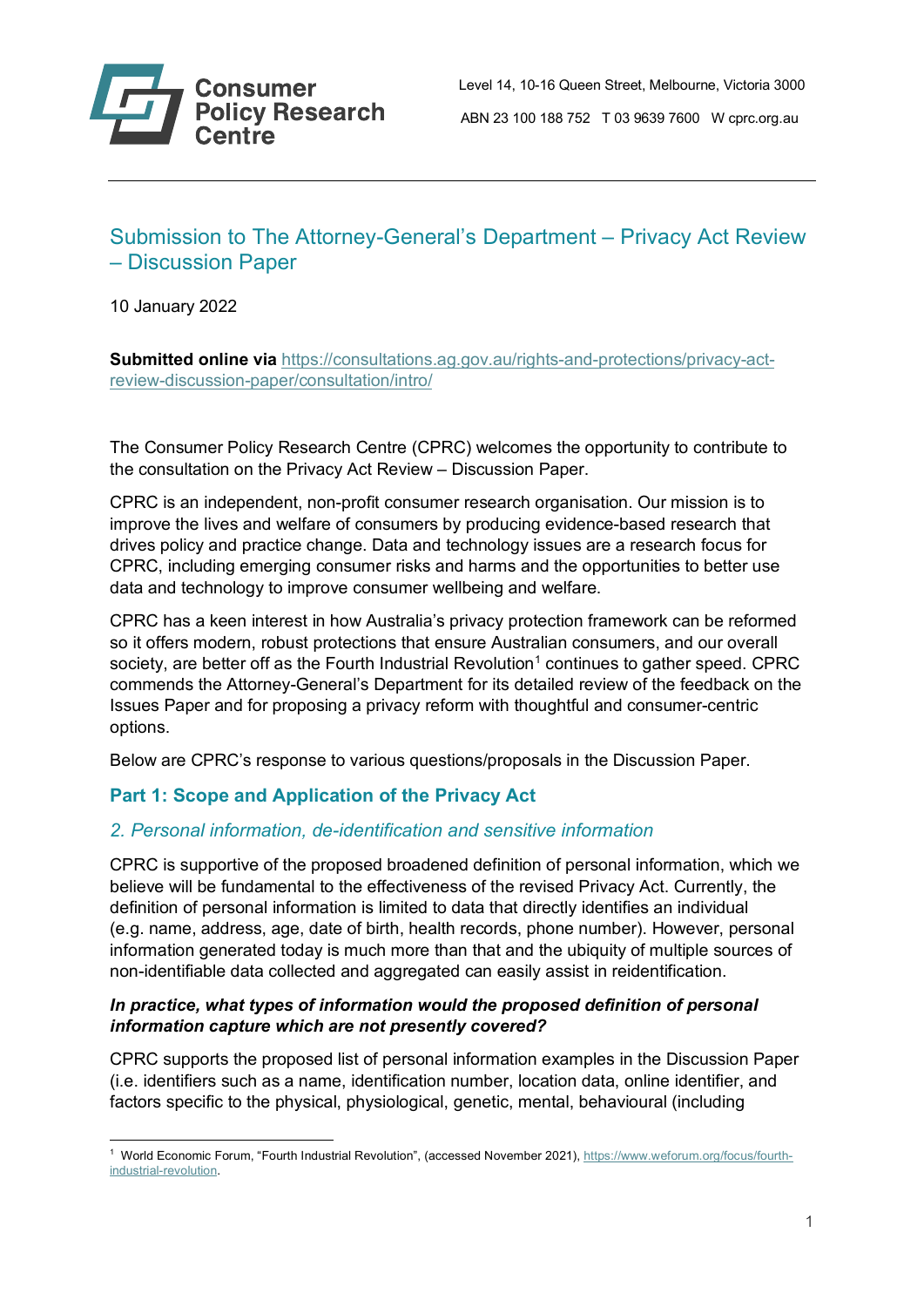# Submission to The Attorney-General's Department – Privacy Act Review – Discussion Paper

10 January 2022

**Submitted online via** [https://consultations.ag.gov.au/rights-and-protections/privacy-act](https://consultations.ag.gov.au/rights-and-protections/privacy-act-review-discussion-paper/consultation/intro/)[review-discussion-paper/consultation/intro/](https://consultations.ag.gov.au/rights-and-protections/privacy-act-review-discussion-paper/consultation/intro/)

The Consumer Policy Research Centre (CPRC) welcomes the opportunity to contribute to the consultation on the Privacy Act Review – Discussion Paper.

CPRC is an independent, non-profit consumer research organisation. Our mission is to improve the lives and welfare of consumers by producing evidence-based research that drives policy and practice change. Data and technology issues are a research focus for CPRC, including emerging consumer risks and harms and the opportunities to better use data and technology to improve consumer wellbeing and welfare.

CPRC has a keen interest in how Australia's privacy protection framework can be reformed so it offers modern, robust protections that ensure Australian consumers, and our overall society, are better off as the Fourth Industrial Revolution<sup>[1](#page-0-0)</sup> continues to gather speed. CPRC commends the Attorney-General's Department for its detailed review of the feedback on the Issues Paper and for proposing a privacy reform with thoughtful and consumer-centric options.

Below are CPRC's response to various questions/proposals in the Discussion Paper.

# **Part 1: Scope and Application of the Privacy Act**

# *2. Personal information, de-identification and sensitive information*

CPRC is supportive of the proposed broadened definition of personal information, which we believe will be fundamental to the effectiveness of the revised Privacy Act. Currently, the definition of personal information is limited to data that directly identifies an individual (e.g. name, address, age, date of birth, health records, phone number). However, personal information generated today is much more than that and the ubiquity of multiple sources of non-identifiable data collected and aggregated can easily assist in reidentification.

### *In practice, what types of information would the proposed definition of personal information capture which are not presently covered?*

CPRC supports the proposed list of personal information examples in the Discussion Paper (i.e. identifiers such as a name, identification number, location data, online identifier, and factors specific to the physical, physiological, genetic, mental, behavioural (including

<span id="page-0-0"></span><sup>1</sup> World Economic Forum, "Fourth Industrial Revolution", (accessed November 2021), [https://www.weforum.org/focus/fourth](https://www.weforum.org/focus/fourth-industrial-revolution)[industrial-revolution.](https://www.weforum.org/focus/fourth-industrial-revolution)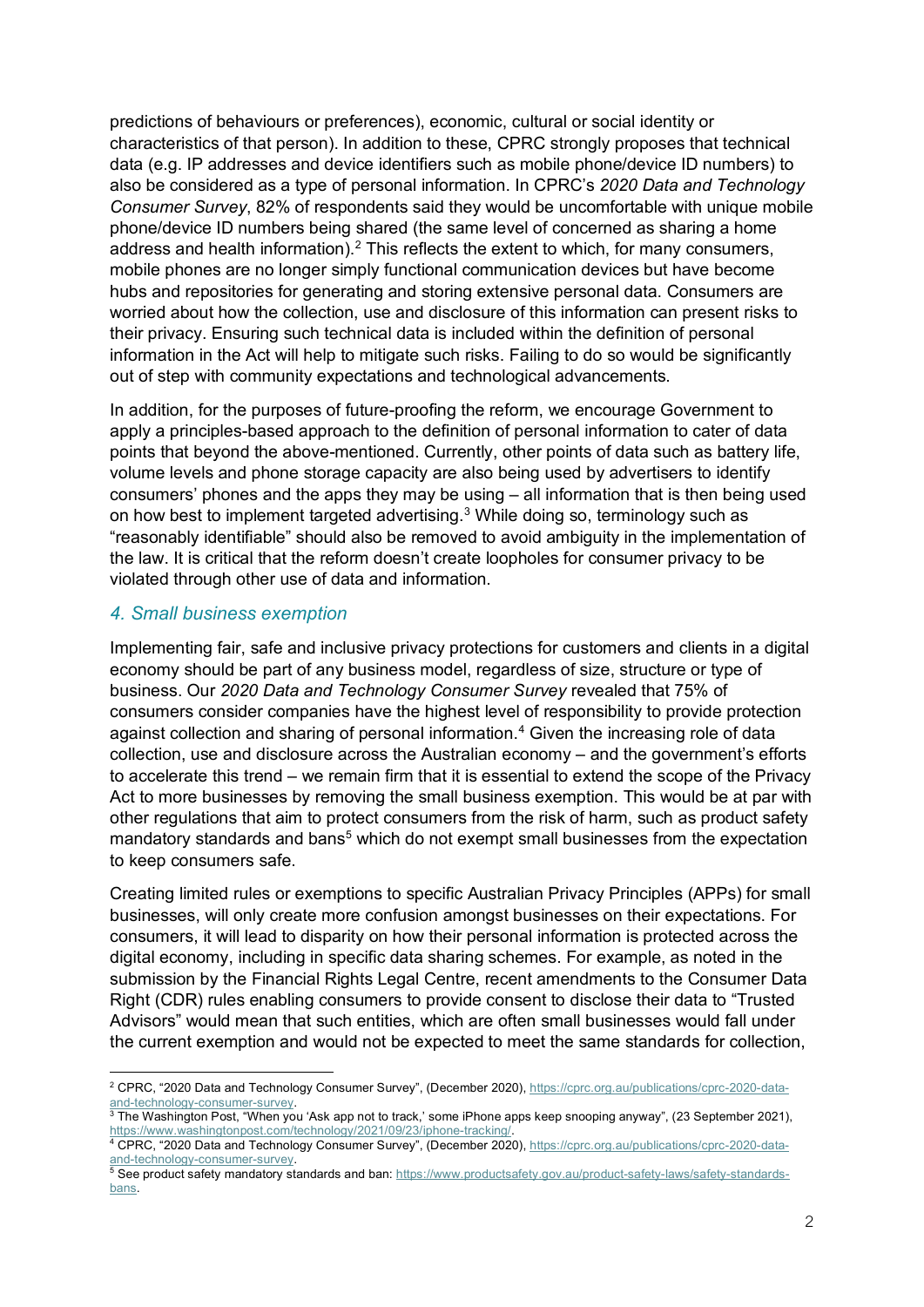predictions of behaviours or preferences), economic, cultural or social identity or characteristics of that person). In addition to these, CPRC strongly proposes that technical data (e.g. IP addresses and device identifiers such as mobile phone/device ID numbers) to also be considered as a type of personal information. In CPRC's *2020 Data and Technology Consumer Survey*, 82% of respondents said they would be uncomfortable with unique mobile phone/device ID numbers being shared (the same level of concerned as sharing a home address and health information).<sup>[2](#page-1-0)</sup> This reflects the extent to which, for many consumers, mobile phones are no longer simply functional communication devices but have become hubs and repositories for generating and storing extensive personal data. Consumers are worried about how the collection, use and disclosure of this information can present risks to their privacy. Ensuring such technical data is included within the definition of personal information in the Act will help to mitigate such risks. Failing to do so would be significantly out of step with community expectations and technological advancements.

In addition, for the purposes of future-proofing the reform, we encourage Government to apply a principles-based approach to the definition of personal information to cater of data points that beyond the above-mentioned. Currently, other points of data such as battery life, volume levels and phone storage capacity are also being used by advertisers to identify consumers' phones and the apps they may be using – all information that is then being used on how best to implement targeted advertising. $3$  While doing so, terminology such as "reasonably identifiable" should also be removed to avoid ambiguity in the implementation of the law. It is critical that the reform doesn't create loopholes for consumer privacy to be violated through other use of data and information.

#### *4. Small business exemption*

Implementing fair, safe and inclusive privacy protections for customers and clients in a digital economy should be part of any business model, regardless of size, structure or type of business. Our *2020 Data and Technology Consumer Survey* revealed that 75% of consumers consider companies have the highest level of responsibility to provide protection against collection and sharing of personal information. [4](#page-1-2) Given the increasing role of data collection, use and disclosure across the Australian economy – and the government's efforts to accelerate this trend – we remain firm that it is essential to extend the scope of the Privacy Act to more businesses by removing the small business exemption. This would be at par with other regulations that aim to protect consumers from the risk of harm, such as product safety mandatory standards and bans<sup>[5](#page-1-3)</sup> which do not exempt small businesses from the expectation to keep consumers safe.

Creating limited rules or exemptions to specific Australian Privacy Principles (APPs) for small businesses, will only create more confusion amongst businesses on their expectations. For consumers, it will lead to disparity on how their personal information is protected across the digital economy, including in specific data sharing schemes. For example, as noted in the submission by the Financial Rights Legal Centre, recent amendments to the Consumer Data Right (CDR) rules enabling consumers to provide consent to disclose their data to "Trusted Advisors" would mean that such entities, which are often small businesses would fall under the current exemption and would not be expected to meet the same standards for collection,

<span id="page-1-0"></span><sup>&</sup>lt;sup>2</sup> CPRC, "2020 Data and Technology Consumer Survey", (December 2020), [https://cprc.org.au/publications/cprc-2020-data](https://cprc.org.au/publications/cprc-2020-data-and-technology-consumer-survey)[and-technology-consumer-survey.](https://cprc.org.au/publications/cprc-2020-data-and-technology-consumer-survey) 3<br>3 The Washington Post, "When you 'Ask app not to track,' some iPhone apps keep snooping anyway", (23 September 2021),

<span id="page-1-1"></span>https://www.washingtonpost.com/technology/2021/09/23/iphone-tracking/.<br><sup>4</sup> CPRC, "2020 Data and Technology Consumer Survey", (December 2020), [https://cprc.org.au/publications/cprc-2020-data-](https://cprc.org.au/publications/cprc-2020-data-and-technology-consumer-survey)

<span id="page-1-2"></span>[and-technology-consumer-survey.](https://cprc.org.au/publications/cprc-2020-data-and-technology-consumer-survey)

<span id="page-1-3"></span><sup>5</sup> See product safety mandatory standards and ban: [https://www.productsafety.gov.au/product-safety-laws/safety-standards](https://www.productsafety.gov.au/product-safety-laws/safety-standards-bans)[bans.](https://www.productsafety.gov.au/product-safety-laws/safety-standards-bans)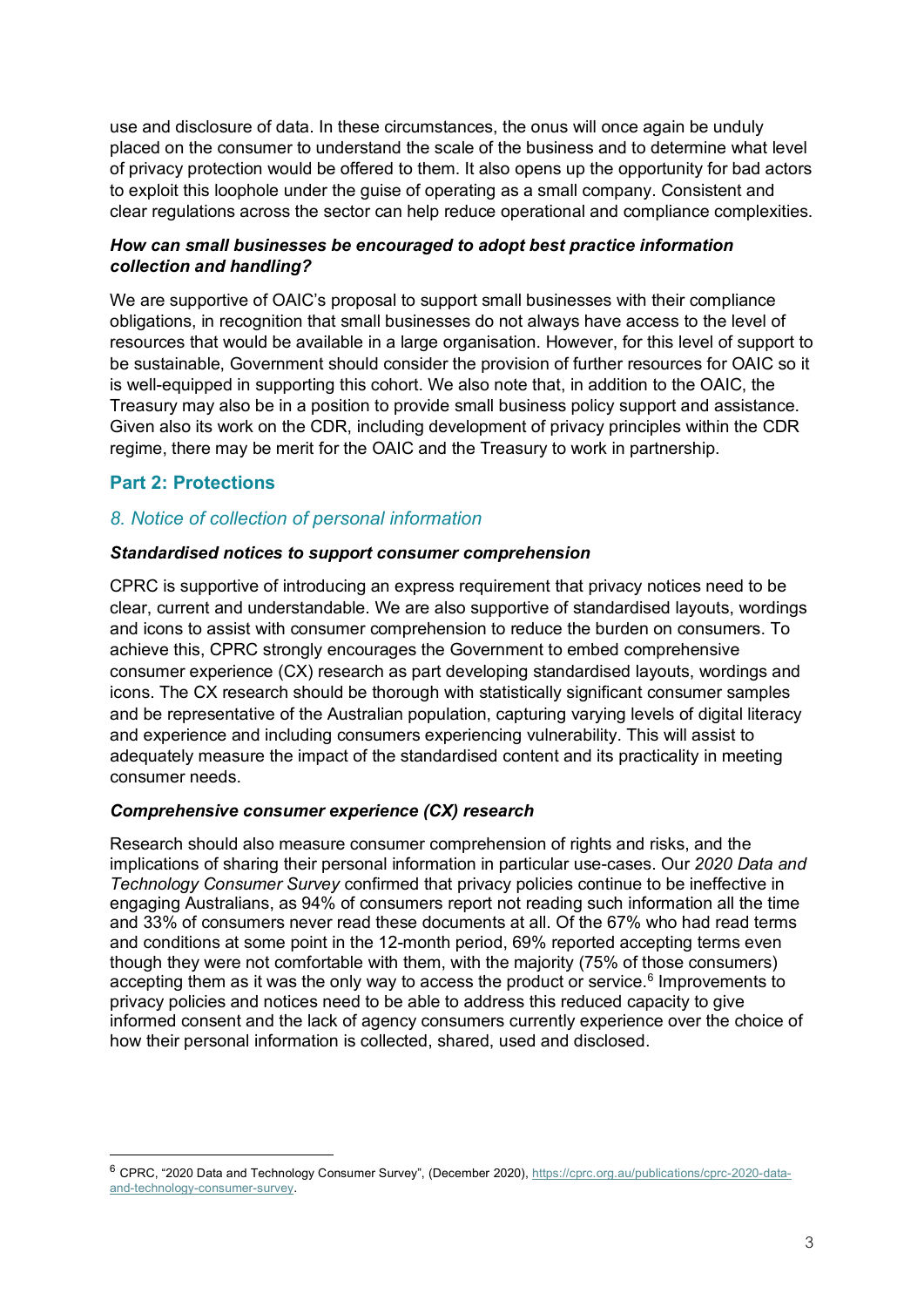use and disclosure of data. In these circumstances, the onus will once again be unduly placed on the consumer to understand the scale of the business and to determine what level of privacy protection would be offered to them. It also opens up the opportunity for bad actors to exploit this loophole under the guise of operating as a small company. Consistent and clear regulations across the sector can help reduce operational and compliance complexities.

### *How can small businesses be encouraged to adopt best practice information collection and handling?*

We are supportive of OAIC's proposal to support small businesses with their compliance obligations, in recognition that small businesses do not always have access to the level of resources that would be available in a large organisation. However, for this level of support to be sustainable, Government should consider the provision of further resources for OAIC so it is well-equipped in supporting this cohort. We also note that, in addition to the OAIC, the Treasury may also be in a position to provide small business policy support and assistance. Given also its work on the CDR, including development of privacy principles within the CDR regime, there may be merit for the OAIC and the Treasury to work in partnership.

# **Part 2: Protections**

# *8. Notice of collection of personal information*

#### *Standardised notices to support consumer comprehension*

CPRC is supportive of introducing an express requirement that privacy notices need to be clear, current and understandable. We are also supportive of standardised layouts, wordings and icons to assist with consumer comprehension to reduce the burden on consumers. To achieve this, CPRC strongly encourages the Government to embed comprehensive consumer experience (CX) research as part developing standardised layouts, wordings and icons. The CX research should be thorough with statistically significant consumer samples and be representative of the Australian population, capturing varying levels of digital literacy and experience and including consumers experiencing vulnerability. This will assist to adequately measure the impact of the standardised content and its practicality in meeting consumer needs.

#### *Comprehensive consumer experience (CX) research*

Research should also measure consumer comprehension of rights and risks, and the implications of sharing their personal information in particular use-cases. Our *2020 Data and Technology Consumer Survey* confirmed that privacy policies continue to be ineffective in engaging Australians, as 94% of consumers report not reading such information all the time and 33% of consumers never read these documents at all. Of the 67% who had read terms and conditions at some point in the 12-month period, 69% reported accepting terms even though they were not comfortable with them, with the majority (75% of those consumers) accepting them as it was the only way to access the product or service. $6$  Improvements to privacy policies and notices need to be able to address this reduced capacity to give informed consent and the lack of agency consumers currently experience over the choice of how their personal information is collected, shared, used and disclosed.

<span id="page-2-0"></span><sup>&</sup>lt;sup>6</sup> CPRC, "2020 Data and Technology Consumer Survey", (December 2020), [https://cprc.org.au/publications/cprc-2020-data](https://cprc.org.au/publications/cprc-2020-data-and-technology-consumer-survey)[and-technology-consumer-survey.](https://cprc.org.au/publications/cprc-2020-data-and-technology-consumer-survey)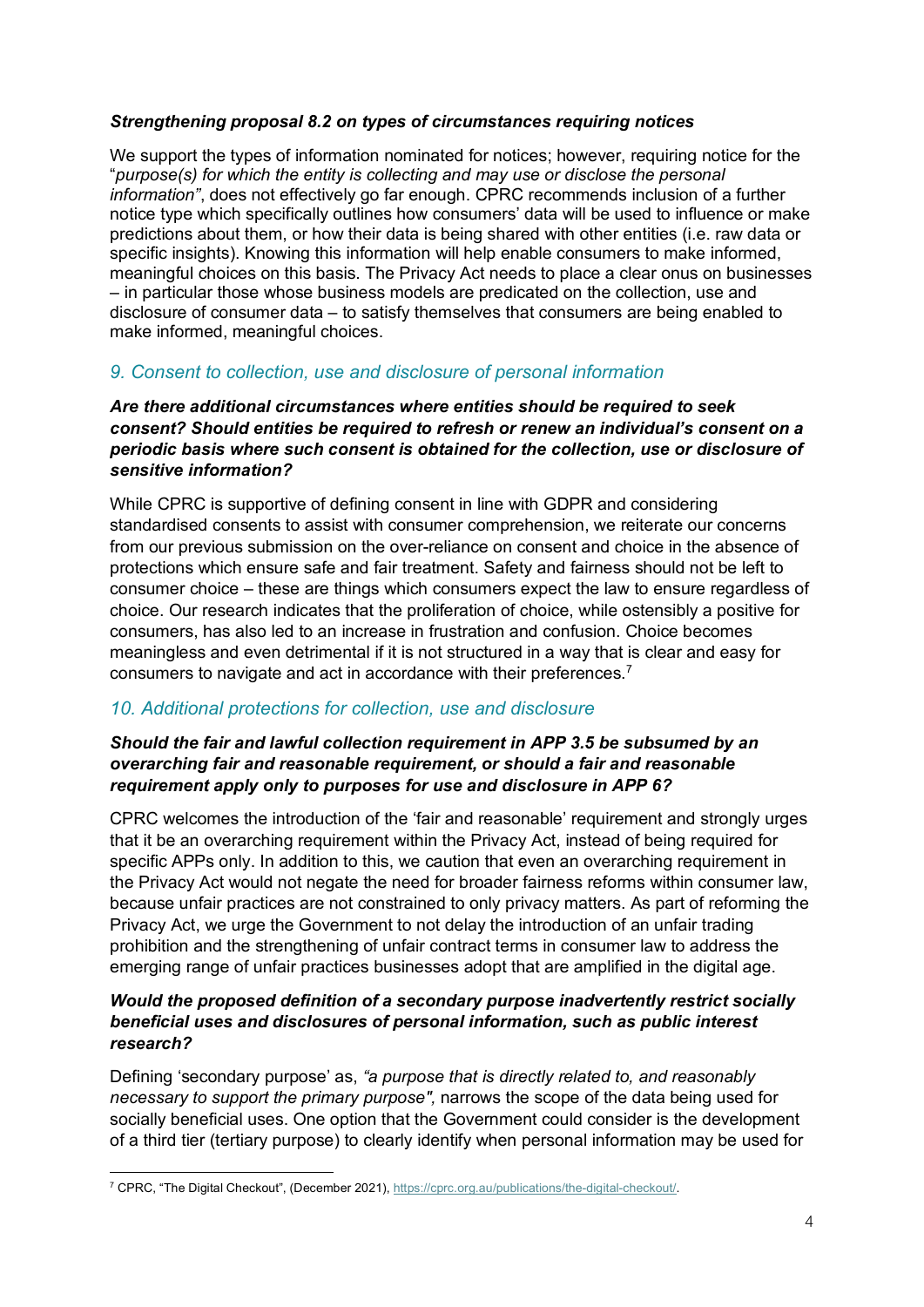### *Strengthening proposal 8.2 on types of circumstances requiring notices*

We support the types of information nominated for notices; however, requiring notice for the "*purpose(s) for which the entity is collecting and may use or disclose the personal information"*, does not effectively go far enough. CPRC recommends inclusion of a further notice type which specifically outlines how consumers' data will be used to influence or make predictions about them, or how their data is being shared with other entities (i.e. raw data or specific insights). Knowing this information will help enable consumers to make informed, meaningful choices on this basis. The Privacy Act needs to place a clear onus on businesses – in particular those whose business models are predicated on the collection, use and disclosure of consumer data – to satisfy themselves that consumers are being enabled to make informed, meaningful choices.

# *9. Consent to collection, use and disclosure of personal information*

#### *Are there additional circumstances where entities should be required to seek consent? Should entities be required to refresh or renew an individual's consent on a periodic basis where such consent is obtained for the collection, use or disclosure of sensitive information?*

While CPRC is supportive of defining consent in line with GDPR and considering standardised consents to assist with consumer comprehension, we reiterate our concerns from our previous submission on the over-reliance on consent and choice in the absence of protections which ensure safe and fair treatment. Safety and fairness should not be left to consumer choice – these are things which consumers expect the law to ensure regardless of choice. Our research indicates that the proliferation of choice, while ostensibly a positive for consumers, has also led to an increase in frustration and confusion. Choice becomes meaningless and even detrimental if it is not structured in a way that is clear and easy for consumers to navigate and act in accordance with their preferences.<sup>[7](#page-3-0)</sup>

### *10. Additional protections for collection, use and disclosure*

#### *Should the fair and lawful collection requirement in APP 3.5 be subsumed by an overarching fair and reasonable requirement, or should a fair and reasonable requirement apply only to purposes for use and disclosure in APP 6?*

CPRC welcomes the introduction of the 'fair and reasonable' requirement and strongly urges that it be an overarching requirement within the Privacy Act, instead of being required for specific APPs only. In addition to this, we caution that even an overarching requirement in the Privacy Act would not negate the need for broader fairness reforms within consumer law, because unfair practices are not constrained to only privacy matters. As part of reforming the Privacy Act, we urge the Government to not delay the introduction of an unfair trading prohibition and the strengthening of unfair contract terms in consumer law to address the emerging range of unfair practices businesses adopt that are amplified in the digital age.

#### *Would the proposed definition of a secondary purpose inadvertently restrict socially beneficial uses and disclosures of personal information, such as public interest research?*

Defining 'secondary purpose' as, *"a purpose that is directly related to, and reasonably necessary to support the primary purpose",* narrows the scope of the data being used for socially beneficial uses. One option that the Government could consider is the development of a third tier (tertiary purpose) to clearly identify when personal information may be used for

<span id="page-3-0"></span><sup>7</sup> CPRC, "The Digital Checkout", (December 2021)[, https://cprc.org.au/publications/the-digital-checkout/.](https://cprc.org.au/publications/the-digital-checkout/)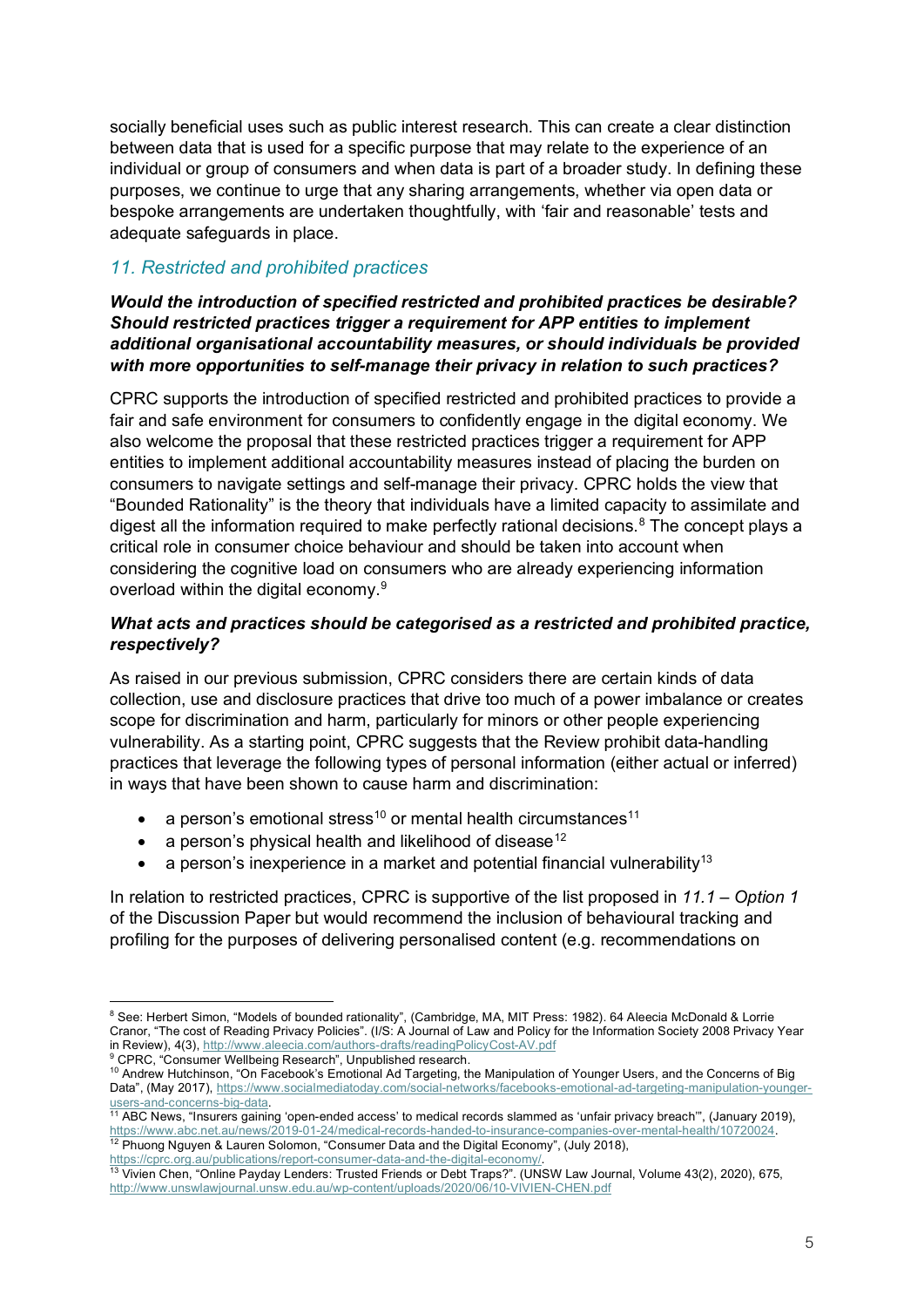socially beneficial uses such as public interest research. This can create a clear distinction between data that is used for a specific purpose that may relate to the experience of an individual or group of consumers and when data is part of a broader study. In defining these purposes, we continue to urge that any sharing arrangements, whether via open data or bespoke arrangements are undertaken thoughtfully, with 'fair and reasonable' tests and adequate safeguards in place.

# *11. Restricted and prohibited practices*

*Would the introduction of specified restricted and prohibited practices be desirable? Should restricted practices trigger a requirement for APP entities to implement additional organisational accountability measures, or should individuals be provided with more opportunities to self-manage their privacy in relation to such practices?*

CPRC supports the introduction of specified restricted and prohibited practices to provide a fair and safe environment for consumers to confidently engage in the digital economy. We also welcome the proposal that these restricted practices trigger a requirement for APP entities to implement additional accountability measures instead of placing the burden on consumers to navigate settings and self-manage their privacy. CPRC holds the view that "Bounded Rationality" is the theory that individuals have a limited capacity to assimilate and digest all the information required to make perfectly rational decisions. [8](#page-4-0) The concept plays a critical role in consumer choice behaviour and should be taken into account when considering the cognitive load on consumers who are already experiencing information overload within the digital economy.<sup>[9](#page-4-1)</sup>

### *What acts and practices should be categorised as a restricted and prohibited practice, respectively?*

As raised in our previous submission, CPRC considers there are certain kinds of data collection, use and disclosure practices that drive too much of a power imbalance or creates scope for discrimination and harm, particularly for minors or other people experiencing vulnerability. As a starting point, CPRC suggests that the Review prohibit data-handling practices that leverage the following types of personal information (either actual or inferred) in ways that have been shown to cause harm and discrimination:

- a person's emotional stress<sup>[10](#page-4-2)</sup> or mental health circumstances<sup>[11](#page-4-3)</sup>
- a person's physical health and likelihood of disease<sup>[12](#page-4-4)</sup>
- a person's inexperience in a market and potential financial vulnerability<sup>13</sup>

In relation to restricted practices, CPRC is supportive of the list proposed in *11.1 – Option 1* of the Discussion Paper but would recommend the inclusion of behavioural tracking and profiling for the purposes of delivering personalised content (e.g. recommendations on

<span id="page-4-0"></span><sup>8</sup> See: Herbert Simon, "Models of bounded rationality", (Cambridge, MA, MIT Press: 1982). 64 Aleecia McDonald & Lorrie Cranor, "The cost of Reading Privacy Policies". (I/S: A Journal of Law and Policy for the Information Society 2008 Privacy Year in Review), 4(3),<http://www.aleecia.com/authors-drafts/readingPolicyCost-AV.pdf> <sup>9</sup> CPRC, "Consumer Wellbeing Research", Unpublished research.

<span id="page-4-2"></span><span id="page-4-1"></span><sup>10</sup> Andrew Hutchinson, "On Facebook's Emotional Ad Targeting, the Manipulation of Younger Users, and the Concerns of Big Data", (May 2017), [https://www.socialmediatoday.com/social-networks/facebooks-emotional-ad-targeting-manipulation-younger](https://www.socialmediatoday.com/social-networks/facebooks-emotional-ad-targeting-manipulation-younger-users-and-concerns-big-data)[users-and-concerns-big-data.](https://www.socialmediatoday.com/social-networks/facebooks-emotional-ad-targeting-manipulation-younger-users-and-concerns-big-data)

<span id="page-4-3"></span><sup>&</sup>lt;sup>11</sup> ABC News, "Insurers gaining 'open-ended access' to medical records slammed as 'unfair privacy breach'", (January 2019), [https://www.abc.net.au/news/2019-01-24/medical-records-handed-to-insurance-companies-over-mental-health/10720024.](https://www.abc.net.au/news/2019-01-24/medical-records-handed-to-insurance-companies-over-mental-health/10720024)  $12$  Phuong Nguyen & Lauren Solomon, "Consumer Data and the Digital Economy", (July 2018), [https://cprc.org.au/publications/report-consumer-data-and-the-digital-economy/.](https://cprc.org.au/publications/report-consumer-data-and-the-digital-economy/)

<span id="page-4-5"></span><span id="page-4-4"></span><sup>13</sup> Vivien Chen, "Online Payday Lenders: Trusted Friends or Debt Traps?". (UNSW Law Journal, Volume 43(2), 2020), 675, <http://www.unswlawjournal.unsw.edu.au/wp-content/uploads/2020/06/10-VIVIEN-CHEN.pdf>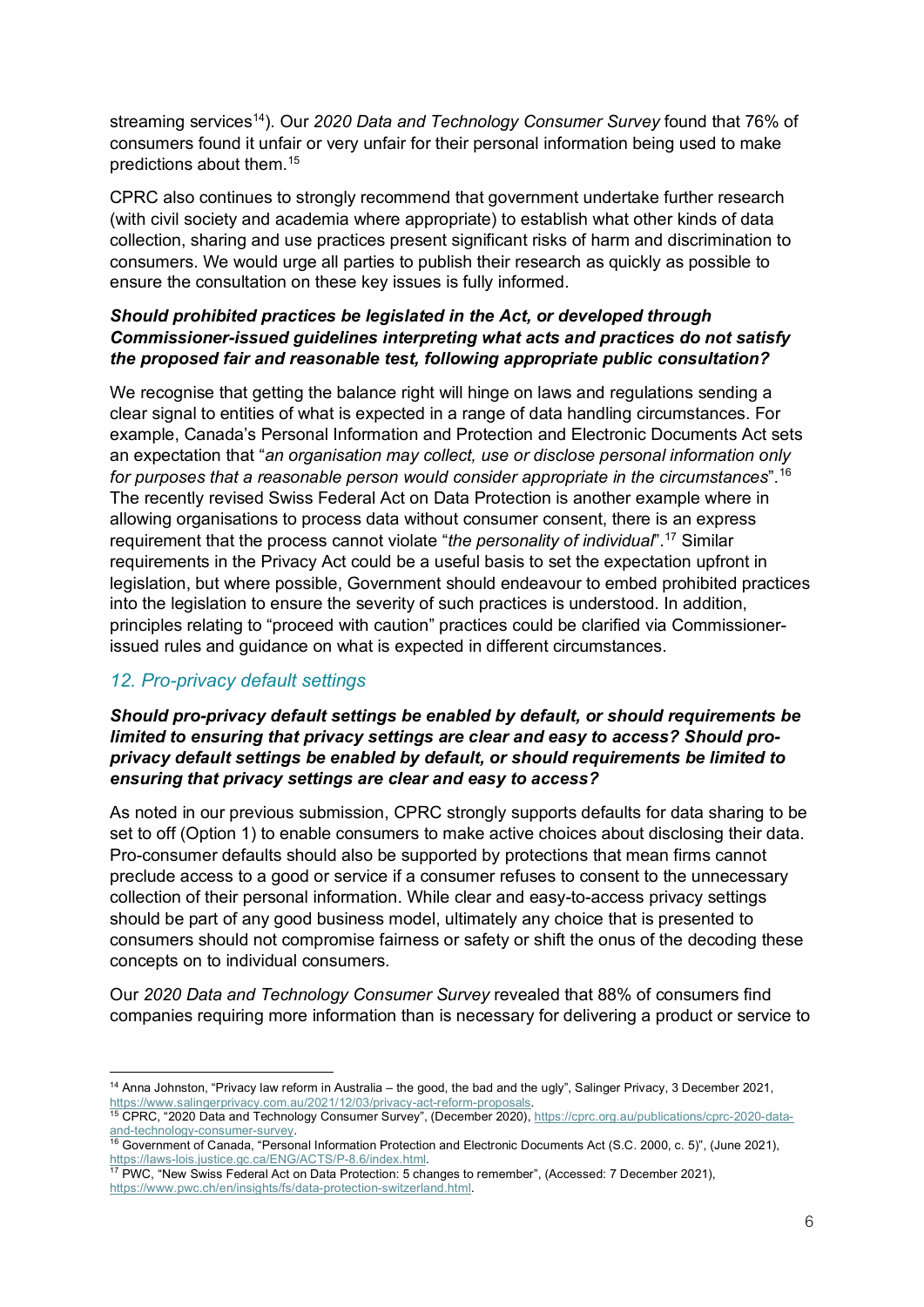streaming services<sup>14</sup>). Our 2020 Data and Technology Consumer Survey found that 76% of consumers found it unfair or very unfair for their personal information being used to make predictions about them.[15](#page-5-1)

CPRC also continues to strongly recommend that government undertake further research (with civil society and academia where appropriate) to establish what other kinds of data collection, sharing and use practices present significant risks of harm and discrimination to consumers. We would urge all parties to publish their research as quickly as possible to ensure the consultation on these key issues is fully informed.

#### *Should prohibited practices be legislated in the Act, or developed through Commissioner-issued guidelines interpreting what acts and practices do not satisfy the proposed fair and reasonable test, following appropriate public consultation?*

We recognise that getting the balance right will hinge on laws and regulations sending a clear signal to entities of what is expected in a range of data handling circumstances. For example, Canada's Personal Information and Protection and Electronic Documents Act sets an expectation that "*an organisation may collect, use or disclose personal information only for purposes that a reasonable person would consider appropriate in the circumstances*". [16](#page-5-2) The recently revised Swiss Federal Act on Data Protection is another example where in allowing organisations to process data without consumer consent, there is an express requirement that the process cannot violate "*the personality of individual*"[.17](#page-5-3) Similar requirements in the Privacy Act could be a useful basis to set the expectation upfront in legislation, but where possible, Government should endeavour to embed prohibited practices into the legislation to ensure the severity of such practices is understood. In addition, principles relating to "proceed with caution" practices could be clarified via Commissionerissued rules and guidance on what is expected in different circumstances.

# *12. Pro-privacy default settings*

### *Should pro-privacy default settings be enabled by default, or should requirements be limited to ensuring that privacy settings are clear and easy to access? Should proprivacy default settings be enabled by default, or should requirements be limited to ensuring that privacy settings are clear and easy to access?*

As noted in our previous submission, CPRC strongly supports defaults for data sharing to be set to off (Option 1) to enable consumers to make active choices about disclosing their data. Pro-consumer defaults should also be supported by protections that mean firms cannot preclude access to a good or service if a consumer refuses to consent to the unnecessary collection of their personal information. While clear and easy-to-access privacy settings should be part of any good business model, ultimately any choice that is presented to consumers should not compromise fairness or safety or shift the onus of the decoding these concepts on to individual consumers.

Our *2020 Data and Technology Consumer Survey* revealed that 88% of consumers find companies requiring more information than is necessary for delivering a product or service to

<span id="page-5-0"></span><sup>&</sup>lt;sup>14</sup> Anna Johnston, "Privacy law reform in Australia – the good, the bad and the ugly", Salinger Privacy, 3 December 2021, https://www.salingerprivacy.com.au/2021/12/03/privacy-act-reform-proposals.<br><sup>15</sup> CPRC, "2020 Data and Technology Consumer Survey", (December 2020)[, https://cprc.org.au/publications/cprc-2020-data-](https://cprc.org.au/publications/cprc-2020-data-and-technology-consumer-survey)

<span id="page-5-1"></span>[and-technology-consumer-survey.](https://cprc.org.au/publications/cprc-2020-data-and-technology-consumer-survey)

<span id="page-5-2"></span><sup>&</sup>lt;sup>16</sup> Government of Canada, "Personal Information Protection and Electronic Documents Act (S.C. 2000, c. 5)", (June 2021), https://laws-lois.justice.gc.ca/ENG/ACTS/P-8.6/index.html.<br>
<sup>17</sup> PWC, "New Swiss Federal Act on Data Protection: 5 changes to remember", (Accessed: 7 December 2021),

<span id="page-5-3"></span>[https://www.pwc.ch/en/insights/fs/data-protection-switzerland.html.](https://www.pwc.ch/en/insights/fs/data-protection-switzerland.html)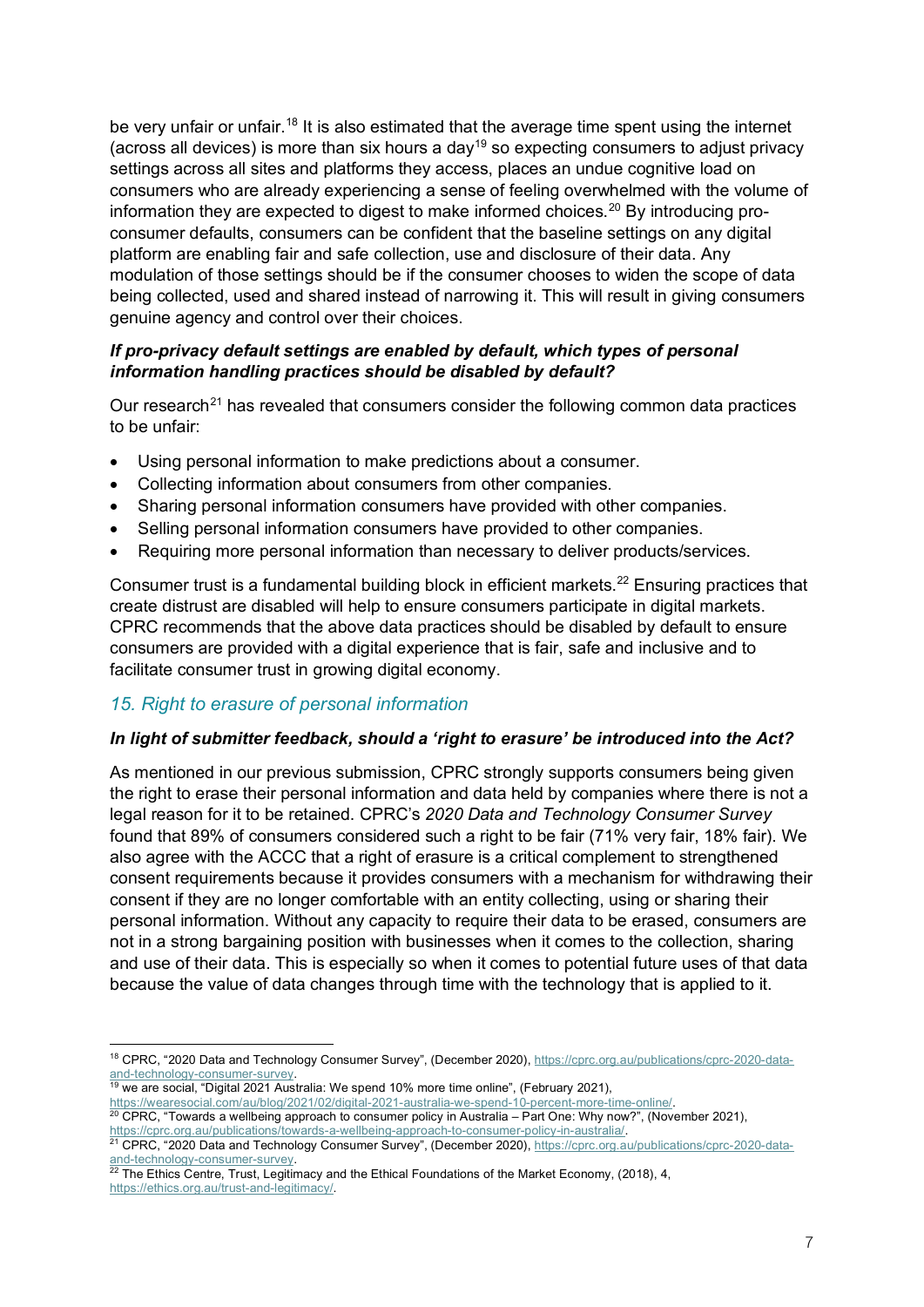be very unfair or unfair.<sup>[18](#page-6-0)</sup> It is also estimated that the average time spent using the internet (across all devices) is more than six hours a day<sup>[19](#page-6-1)</sup> so expecting consumers to adjust privacy settings across all sites and platforms they access, places an undue cognitive load on consumers who are already experiencing a sense of feeling overwhelmed with the volume of information they are expected to digest to make informed choices. [20](#page-6-2) By introducing proconsumer defaults, consumers can be confident that the baseline settings on any digital platform are enabling fair and safe collection, use and disclosure of their data. Any modulation of those settings should be if the consumer chooses to widen the scope of data being collected, used and shared instead of narrowing it. This will result in giving consumers genuine agency and control over their choices.

### *If pro-privacy default settings are enabled by default, which types of personal information handling practices should be disabled by default?*

Our research<sup>[21](#page-6-3)</sup> has revealed that consumers consider the following common data practices to be unfair:

- Using personal information to make predictions about a consumer.
- Collecting information about consumers from other companies.
- Sharing personal information consumers have provided with other companies.
- Selling personal information consumers have provided to other companies.
- Requiring more personal information than necessary to deliver products/services.

Consumer trust is a fundamental building block in efficient markets.<sup>[22](#page-6-4)</sup> Ensuring practices that create distrust are disabled will help to ensure consumers participate in digital markets. CPRC recommends that the above data practices should be disabled by default to ensure consumers are provided with a digital experience that is fair, safe and inclusive and to facilitate consumer trust in growing digital economy.

### *15. Right to erasure of personal information*

### *In light of submitter feedback, should a 'right to erasure' be introduced into the Act?*

As mentioned in our previous submission, CPRC strongly supports consumers being given the right to erase their personal information and data held by companies where there is not a legal reason for it to be retained. CPRC's *2020 Data and Technology Consumer Survey* found that 89% of consumers considered such a right to be fair (71% very fair, 18% fair). We also agree with the ACCC that a right of erasure is a critical complement to strengthened consent requirements because it provides consumers with a mechanism for withdrawing their consent if they are no longer comfortable with an entity collecting, using or sharing their personal information. Without any capacity to require their data to be erased, consumers are not in a strong bargaining position with businesses when it comes to the collection, sharing and use of their data. This is especially so when it comes to potential future uses of that data because the value of data changes through time with the technology that is applied to it.

- $19$  we are social, "Digital 2021 Australia: We spend 10% more time online", (February 2021),
- <span id="page-6-2"></span><span id="page-6-1"></span>https://wearesocial.com/au/blog/2021/02/digital-2021-australia-we-spend-10-percent-more-time-online/.<br><sup>20</sup> CPRC, "Towards a wellbeing approach to consumer policy in Australia – Part One: Why now?", (November 2021), https://cprc.org.au/publications/towards-a-wellbeing-approach-to-consumer-policy-in-australia/.<br><sup>21</sup> CPRC, "2020 Data and Technology Consumer Survey", (December 2020)[, https://cprc.org.au/publications/cprc-2020-data-](https://cprc.org.au/publications/cprc-2020-data-and-technology-consumer-survey)

<span id="page-6-0"></span><sup>&</sup>lt;sup>18</sup> CPRC, "2020 Data and Technology Consumer Survey", (December 2020)[, https://cprc.org.au/publications/cprc-2020-data](https://cprc.org.au/publications/cprc-2020-data-and-technology-consumer-survey)[and-technology-consumer-survey.](https://cprc.org.au/publications/cprc-2020-data-and-technology-consumer-survey)

<span id="page-6-3"></span>[and-technology-consumer-survey.](https://cprc.org.au/publications/cprc-2020-data-and-technology-consumer-survey)

<span id="page-6-4"></span> $^{22}$  The Ethics Centre, Trust, Legitimacy and the Ethical Foundations of the Market Economy, (2018), 4,

[https://ethics.org.au/trust-and-legitimacy/.](https://ethics.org.au/trust-and-legitimacy/)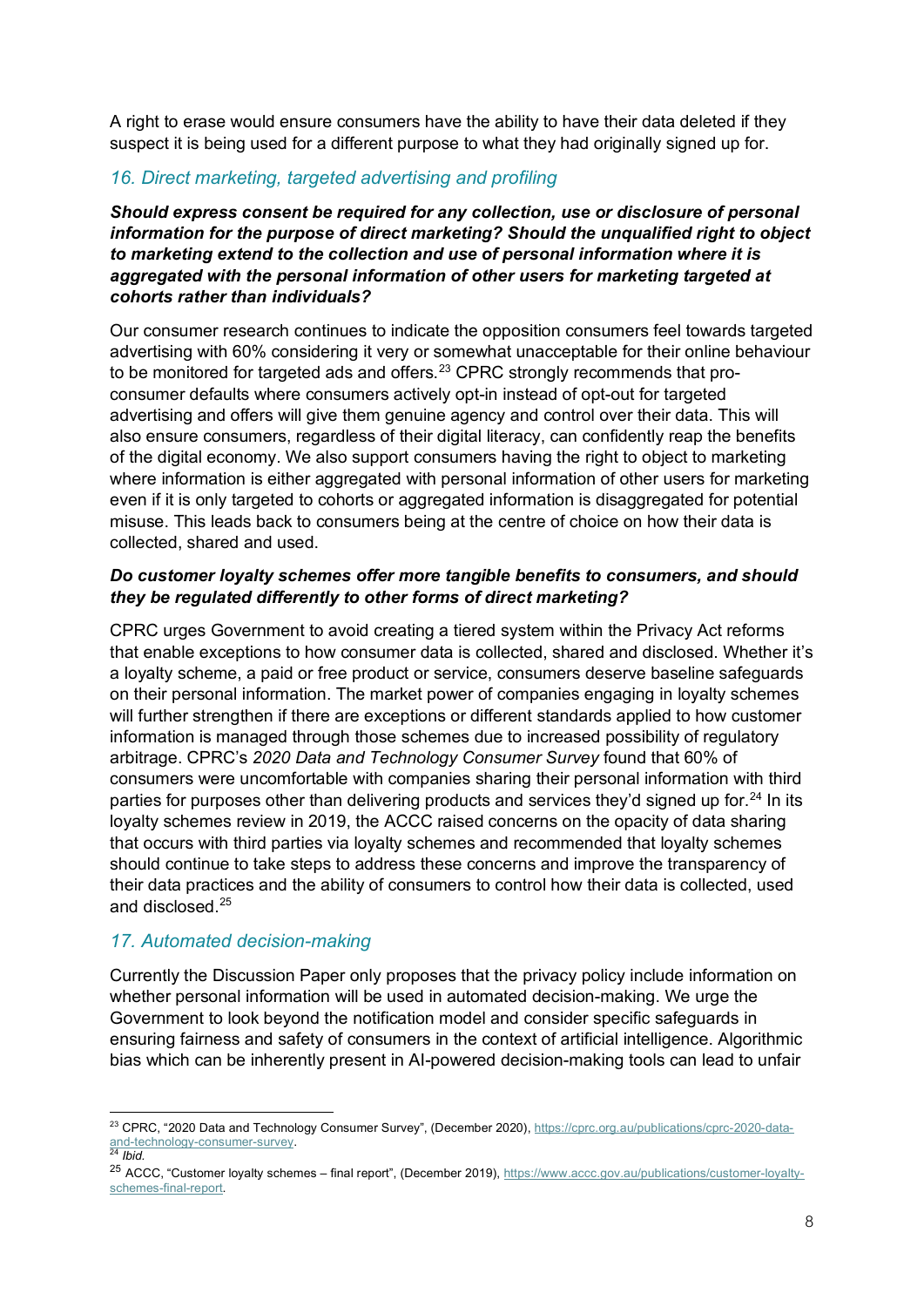A right to erase would ensure consumers have the ability to have their data deleted if they suspect it is being used for a different purpose to what they had originally signed up for.

# *16. Direct marketing, targeted advertising and profiling*

*Should express consent be required for any collection, use or disclosure of personal information for the purpose of direct marketing? Should the unqualified right to object to marketing extend to the collection and use of personal information where it is aggregated with the personal information of other users for marketing targeted at cohorts rather than individuals?*

Our consumer research continues to indicate the opposition consumers feel towards targeted advertising with 60% considering it very or somewhat unacceptable for their online behaviour to be monitored for targeted ads and offers.<sup>[23](#page-7-0)</sup> CPRC strongly recommends that proconsumer defaults where consumers actively opt-in instead of opt-out for targeted advertising and offers will give them genuine agency and control over their data. This will also ensure consumers, regardless of their digital literacy, can confidently reap the benefits of the digital economy. We also support consumers having the right to object to marketing where information is either aggregated with personal information of other users for marketing even if it is only targeted to cohorts or aggregated information is disaggregated for potential misuse. This leads back to consumers being at the centre of choice on how their data is collected, shared and used.

### *Do customer loyalty schemes offer more tangible benefits to consumers, and should they be regulated differently to other forms of direct marketing?*

CPRC urges Government to avoid creating a tiered system within the Privacy Act reforms that enable exceptions to how consumer data is collected, shared and disclosed. Whether it's a loyalty scheme, a paid or free product or service, consumers deserve baseline safeguards on their personal information. The market power of companies engaging in loyalty schemes will further strengthen if there are exceptions or different standards applied to how customer information is managed through those schemes due to increased possibility of regulatory arbitrage. CPRC's *2020 Data and Technology Consumer Survey* found that 60% of consumers were uncomfortable with companies sharing their personal information with third parties for purposes other than delivering products and services they'd signed up for.<sup>[24](#page-7-1)</sup> In its loyalty schemes review in 2019, the ACCC raised concerns on the opacity of data sharing that occurs with third parties via loyalty schemes and recommended that loyalty schemes should continue to take steps to address these concerns and improve the transparency of their data practices and the ability of consumers to control how their data is collected, used and disclosed.[25](#page-7-2)

# *17. Automated decision-making*

Currently the Discussion Paper only proposes that the privacy policy include information on whether personal information will be used in automated decision-making. We urge the Government to look beyond the notification model and consider specific safeguards in ensuring fairness and safety of consumers in the context of artificial intelligence. Algorithmic bias which can be inherently present in AI-powered decision-making tools can lead to unfair

<span id="page-7-0"></span><sup>&</sup>lt;sup>23</sup> CPRC, "2020 Data and Technology Consumer Survey", (December 2020)[, https://cprc.org.au/publications/cprc-2020-data](https://cprc.org.au/publications/cprc-2020-data-and-technology-consumer-survey)[and-technology-consumer-survey.](https://cprc.org.au/publications/cprc-2020-data-and-technology-consumer-survey)

<span id="page-7-1"></span><sup>24</sup> *Ibid.*

<span id="page-7-2"></span><sup>&</sup>lt;sup>25</sup> ACCC, "Customer loyalty schemes – final report", (December 2019), [https://www.accc.gov.au/publications/customer-loyalty](https://www.accc.gov.au/publications/customer-loyalty-schemes-final-report)[schemes-final-report.](https://www.accc.gov.au/publications/customer-loyalty-schemes-final-report)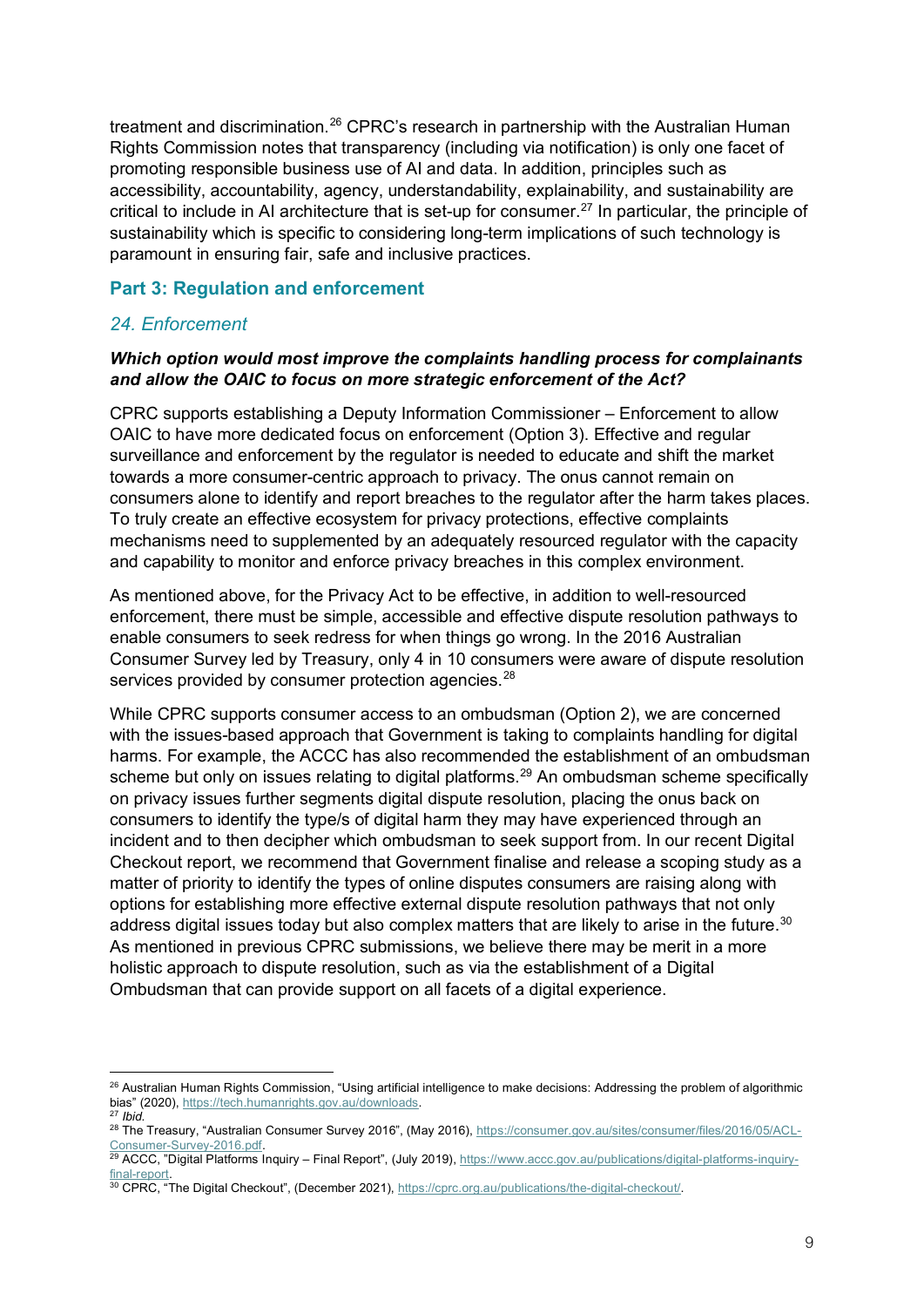treatment and discrimination.[26](#page-8-0) CPRC's research in partnership with the Australian Human Rights Commission notes that transparency (including via notification) is only one facet of promoting responsible business use of AI and data. In addition, principles such as accessibility, accountability, agency, understandability, explainability, and sustainability are critical to include in AI architecture that is set-up for consumer.<sup>27</sup> In particular, the principle of sustainability which is specific to considering long-term implications of such technology is paramount in ensuring fair, safe and inclusive practices.

### **Part 3: Regulation and enforcement**

#### *24. Enforcement*

#### *Which option would most improve the complaints handling process for complainants and allow the OAIC to focus on more strategic enforcement of the Act?*

CPRC supports establishing a Deputy Information Commissioner – Enforcement to allow OAIC to have more dedicated focus on enforcement (Option 3). Effective and regular surveillance and enforcement by the regulator is needed to educate and shift the market towards a more consumer-centric approach to privacy. The onus cannot remain on consumers alone to identify and report breaches to the regulator after the harm takes places. To truly create an effective ecosystem for privacy protections, effective complaints mechanisms need to supplemented by an adequately resourced regulator with the capacity and capability to monitor and enforce privacy breaches in this complex environment.

As mentioned above, for the Privacy Act to be effective, in addition to well-resourced enforcement, there must be simple, accessible and effective dispute resolution pathways to enable consumers to seek redress for when things go wrong. In the 2016 Australian Consumer Survey led by Treasury, only 4 in 10 consumers were aware of dispute resolution services provided by consumer protection agencies.<sup>[28](#page-8-2)</sup>

While CPRC supports consumer access to an ombudsman (Option 2), we are concerned with the issues-based approach that Government is taking to complaints handling for digital harms. For example, the ACCC has also recommended the establishment of an ombudsman scheme but only on issues relating to digital platforms.<sup>[29](#page-8-3)</sup> An ombudsman scheme specifically on privacy issues further segments digital dispute resolution, placing the onus back on consumers to identify the type/s of digital harm they may have experienced through an incident and to then decipher which ombudsman to seek support from. In our recent Digital Checkout report, we recommend that Government finalise and release a scoping study as a matter of priority to identify the types of online disputes consumers are raising along with options for establishing more effective external dispute resolution pathways that not only address digital issues today but also complex matters that are likely to arise in the future. $30$ As mentioned in previous CPRC submissions, we believe there may be merit in a more holistic approach to dispute resolution, such as via the establishment of a Digital Ombudsman that can provide support on all facets of a digital experience.

<span id="page-8-0"></span><sup>&</sup>lt;sup>26</sup> Australian Human Rights Commission, "Using artificial intelligence to make decisions: Addressing the problem of algorithmic bias" (2020), [https://tech.humanrights.gov.au/downloads.](https://tech.humanrights.gov.au/downloads) <sup>27</sup> *Ibid.*

<span id="page-8-2"></span><span id="page-8-1"></span><sup>28</sup> The Treasury, "Australian Consumer Survey 2016", (May 2016), [https://consumer.gov.au/sites/consumer/files/2016/05/ACL-](https://consumer.gov.au/sites/consumer/files/2016/05/ACL-Consumer-Survey-2016.pdf)[Consumer-Survey-2016.pdf.](https://consumer.gov.au/sites/consumer/files/2016/05/ACL-Consumer-Survey-2016.pdf) 29 ACCC, "Digital Platforms Inquiry – Final Report", (July 2019)[, https://www.accc.gov.au/publications/digital-platforms-inquiry-](https://www.accc.gov.au/publications/digital-platforms-inquiry-final-report)

<span id="page-8-3"></span>[final-report.](https://www.accc.gov.au/publications/digital-platforms-inquiry-final-report)

<span id="page-8-4"></span><sup>30</sup> CPRC, "The Digital Checkout", (December 2021)[, https://cprc.org.au/publications/the-digital-checkout/.](https://cprc.org.au/publications/the-digital-checkout/)